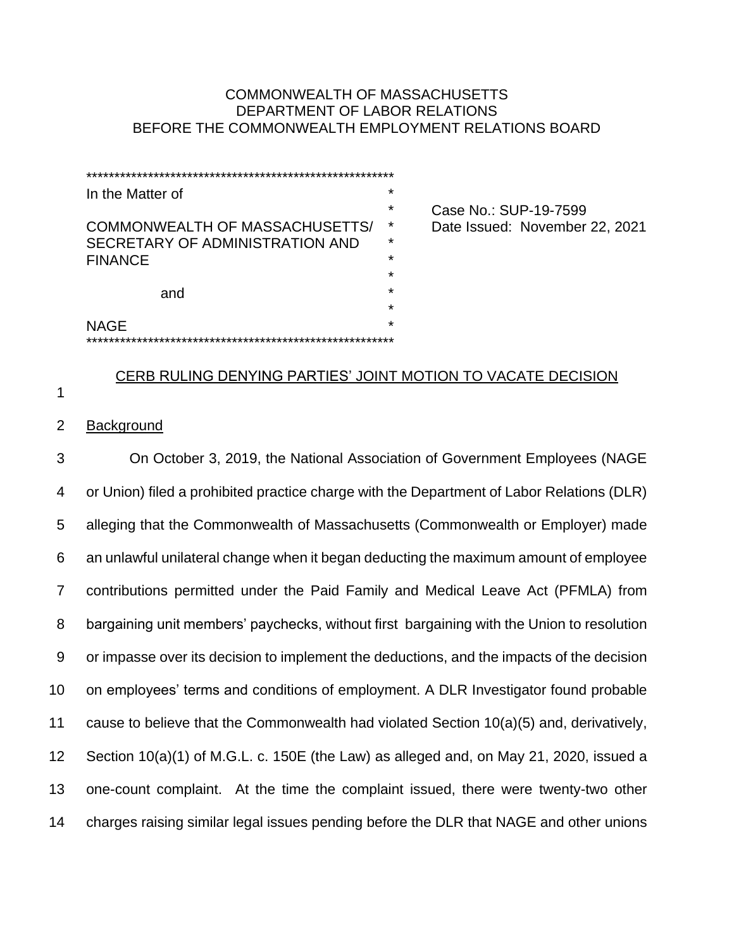# COMMONWEALTH OF MASSACHUSETTS DEPARTMENT OF LABOR RELATIONS BEFORE THE COMMONWEALTH EMPLOYMENT RELATIONS BOARD

| In the Matter of                | $\star$ |                                |
|---------------------------------|---------|--------------------------------|
|                                 | $\star$ | Case No.: SUP-19-7599          |
| COMMONWEALTH OF MASSACHUSETTS/  | *       | Date Issued: November 22, 2021 |
| SECRETARY OF ADMINISTRATION AND | $\star$ |                                |
| <b>FINANCE</b>                  | $\star$ |                                |
|                                 | $\star$ |                                |
| and                             | $\star$ |                                |
|                                 | $\star$ |                                |
| <b>NAGE</b>                     | $\star$ |                                |
|                                 |         |                                |

# CERB RULING DENYING PARTIES' JOINT MOTION TO VACATE DECISION

1

## 2 Background

 On October 3, 2019, the National Association of Government Employees (NAGE or Union) filed a prohibited practice charge with the Department of Labor Relations (DLR) alleging that the Commonwealth of Massachusetts (Commonwealth or Employer) made an unlawful unilateral change when it began deducting the maximum amount of employee contributions permitted under the Paid Family and Medical Leave Act (PFMLA) from bargaining unit members' paychecks, without first bargaining with the Union to resolution or impasse over its decision to implement the deductions, and the impacts of the decision on employees' terms and conditions of employment. A DLR Investigator found probable cause to believe that the Commonwealth had violated Section 10(a)(5) and, derivatively, Section 10(a)(1) of M.G.L. c. 150E (the Law) as alleged and, on May 21, 2020, issued a one-count complaint. At the time the complaint issued, there were twenty-two other charges raising similar legal issues pending before the DLR that NAGE and other unions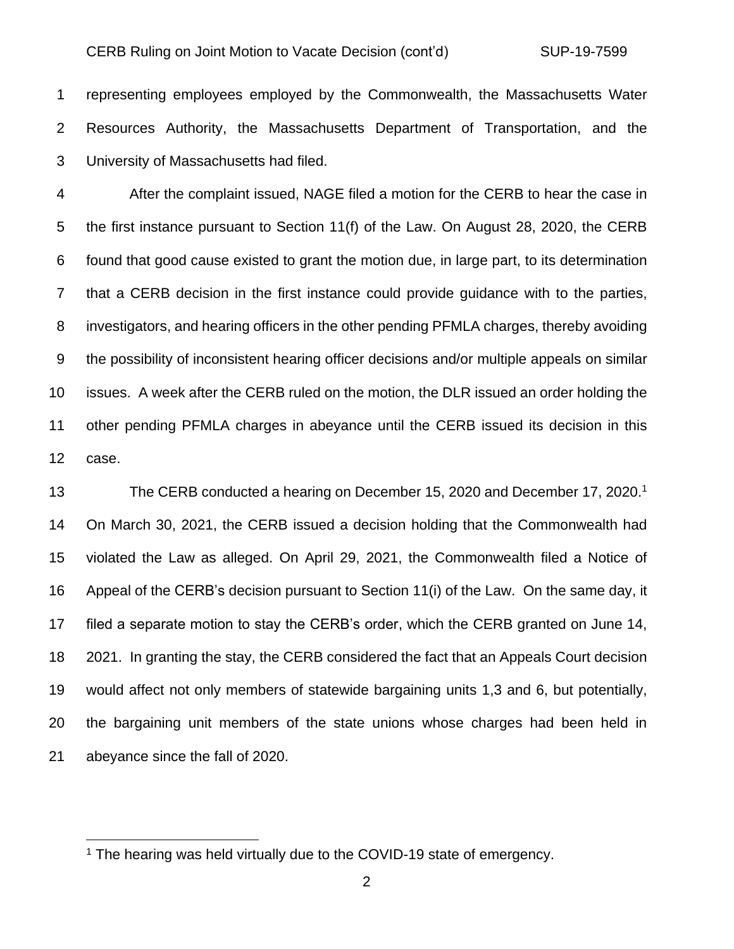representing employees employed by the Commonwealth, the Massachusetts Water Resources Authority, the Massachusetts Department of Transportation, and the University of Massachusetts had filed.

 After the complaint issued, NAGE filed a motion for the CERB to hear the case in the first instance pursuant to Section 11(f) of the Law. On August 28, 2020, the CERB found that good cause existed to grant the motion due, in large part, to its determination that a CERB decision in the first instance could provide guidance with to the parties, investigators, and hearing officers in the other pending PFMLA charges, thereby avoiding the possibility of inconsistent hearing officer decisions and/or multiple appeals on similar issues. A week after the CERB ruled on the motion, the DLR issued an order holding the other pending PFMLA charges in abeyance until the CERB issued its decision in this case.

13 The CERB conducted a hearing on December 15, 2020 and December 17, 2020.<sup>1</sup> On March 30, 2021, the CERB issued a decision holding that the Commonwealth had violated the Law as alleged. On April 29, 2021, the Commonwealth filed a Notice of Appeal of the CERB's decision pursuant to Section 11(i) of the Law. On the same day, it filed a separate motion to stay the CERB's order, which the CERB granted on June 14, 2021. In granting the stay, the CERB considered the fact that an Appeals Court decision would affect not only members of statewide bargaining units 1,3 and 6, but potentially, the bargaining unit members of the state unions whose charges had been held in abeyance since the fall of 2020.

<sup>&</sup>lt;sup>1</sup> The hearing was held virtually due to the COVID-19 state of emergency.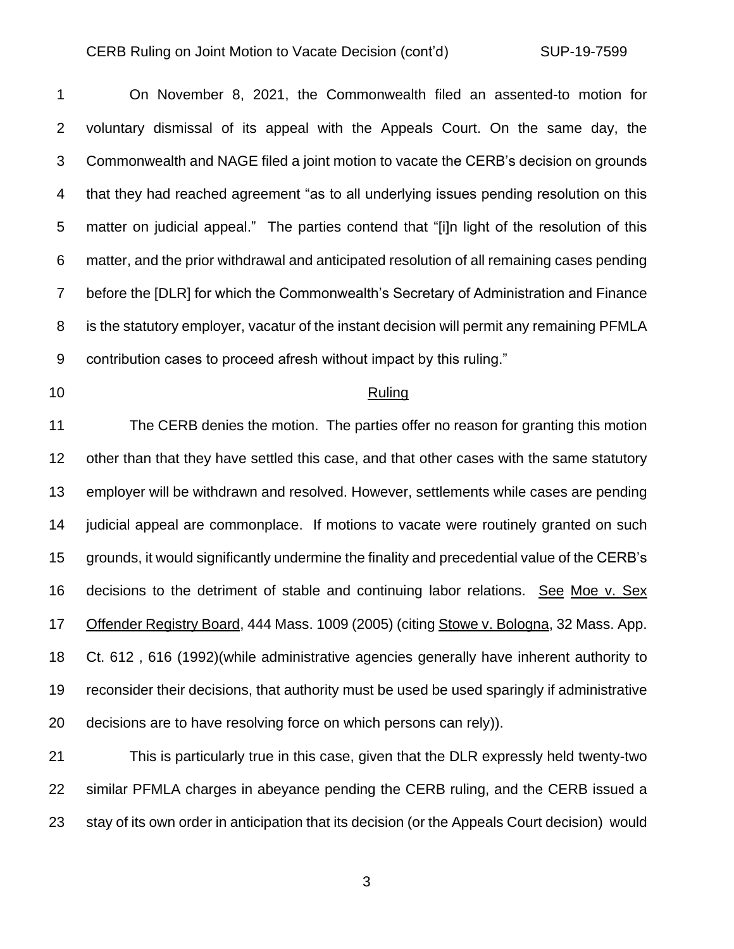#### CERB Ruling on Joint Motion to Vacate Decision (cont'd) SUP-19-7599

 On November 8, 2021, the Commonwealth filed an assented-to motion for voluntary dismissal of its appeal with the Appeals Court. On the same day, the Commonwealth and NAGE filed a joint motion to vacate the CERB's decision on grounds that they had reached agreement "as to all underlying issues pending resolution on this matter on judicial appeal." The parties contend that "[i]n light of the resolution of this matter, and the prior withdrawal and anticipated resolution of all remaining cases pending before the [DLR] for which the Commonwealth's Secretary of Administration and Finance is the statutory employer, vacatur of the instant decision will permit any remaining PFMLA contribution cases to proceed afresh without impact by this ruling."

### 10 Ruling

 The CERB denies the motion. The parties offer no reason for granting this motion other than that they have settled this case, and that other cases with the same statutory employer will be withdrawn and resolved. However, settlements while cases are pending judicial appeal are commonplace. If motions to vacate were routinely granted on such grounds, it would significantly undermine the finality and precedential value of the CERB's decisions to the detriment of stable and continuing labor relations. See Moe v. Sex Offender Registry Board, 444 Mass. 1009 (2005) (citing Stowe v. Bologna, 32 Mass. App. Ct. 612 , 616 (1992)(while administrative agencies generally have inherent authority to reconsider their decisions, that authority must be used be used sparingly if administrative decisions are to have resolving force on which persons can rely)).

 This is particularly true in this case, given that the DLR expressly held twenty-two similar PFMLA charges in abeyance pending the CERB ruling, and the CERB issued a stay of its own order in anticipation that its decision (or the Appeals Court decision) would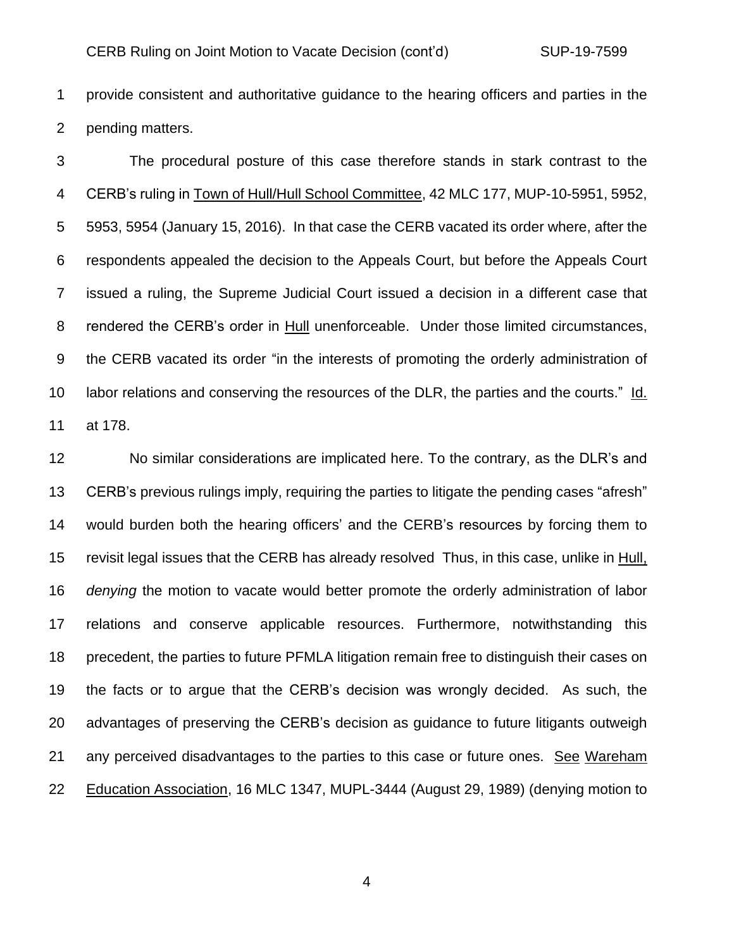provide consistent and authoritative guidance to the hearing officers and parties in the pending matters.

 The procedural posture of this case therefore stands in stark contrast to the CERB's ruling in Town of Hull/Hull School Committee, 42 MLC 177, MUP-10-5951, 5952, 5953, 5954 (January 15, 2016). In that case the CERB vacated its order where, after the respondents appealed the decision to the Appeals Court, but before the Appeals Court issued a ruling, the Supreme Judicial Court issued a decision in a different case that rendered the CERB's order in Hull unenforceable. Under those limited circumstances, the CERB vacated its order "in the interests of promoting the orderly administration of labor relations and conserving the resources of the DLR, the parties and the courts." Id. at 178.

 No similar considerations are implicated here. To the contrary, as the DLR's and CERB's previous rulings imply, requiring the parties to litigate the pending cases "afresh" would burden both the hearing officers' and the CERB's resources by forcing them to 15 revisit legal issues that the CERB has already resolved Thus, in this case, unlike in Hull, *denying* the motion to vacate would better promote the orderly administration of labor relations and conserve applicable resources. Furthermore, notwithstanding this precedent, the parties to future PFMLA litigation remain free to distinguish their cases on the facts or to argue that the CERB's decision was wrongly decided. As such, the advantages of preserving the CERB's decision as guidance to future litigants outweigh any perceived disadvantages to the parties to this case or future ones. See Wareham 22 Education Association, 16 MLC 1347, MUPL-3444 (August 29, 1989) (denying motion to